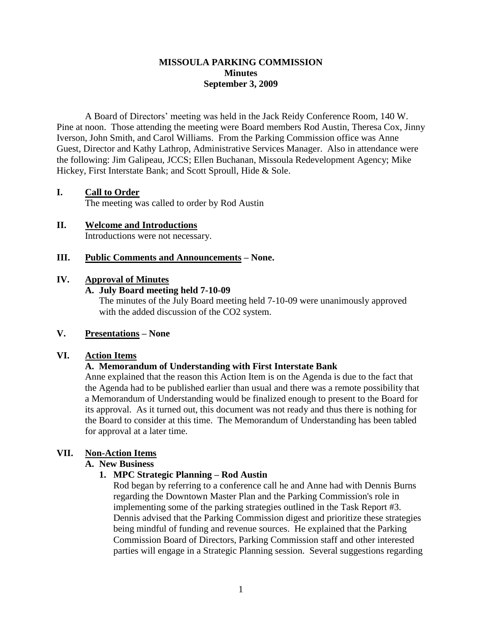### **MISSOULA PARKING COMMISSION Minutes September 3, 2009**

A Board of Directors' meeting was held in the Jack Reidy Conference Room, 140 W. Pine at noon. Those attending the meeting were Board members Rod Austin, Theresa Cox, Jinny Iverson, John Smith, and Carol Williams. From the Parking Commission office was Anne Guest, Director and Kathy Lathrop, Administrative Services Manager. Also in attendance were the following: Jim Galipeau, JCCS; Ellen Buchanan, Missoula Redevelopment Agency; Mike Hickey, First Interstate Bank; and Scott Sproull, Hide & Sole.

## **I. Call to Order**

The meeting was called to order by Rod Austin

#### **II. Welcome and Introductions** Introductions were not necessary.

## **III. Public Comments and Announcements – None.**

## **IV. Approval of Minutes**

### **A. July Board meeting held 7-10-09**

The minutes of the July Board meeting held 7-10-09 were unanimously approved with the added discussion of the CO2 system.

### **V. Presentations – None**

### **VI. Action Items**

# **A. Memorandum of Understanding with First Interstate Bank**

Anne explained that the reason this Action Item is on the Agenda is due to the fact that the Agenda had to be published earlier than usual and there was a remote possibility that a Memorandum of Understanding would be finalized enough to present to the Board for its approval. As it turned out, this document was not ready and thus there is nothing for the Board to consider at this time. The Memorandum of Understanding has been tabled for approval at a later time.

# **VII. Non-Action Items**

# **A. New Business**

# **1. MPC Strategic Planning – Rod Austin**

Rod began by referring to a conference call he and Anne had with Dennis Burns regarding the Downtown Master Plan and the Parking Commission's role in implementing some of the parking strategies outlined in the Task Report #3. Dennis advised that the Parking Commission digest and prioritize these strategies being mindful of funding and revenue sources. He explained that the Parking Commission Board of Directors, Parking Commission staff and other interested parties will engage in a Strategic Planning session. Several suggestions regarding